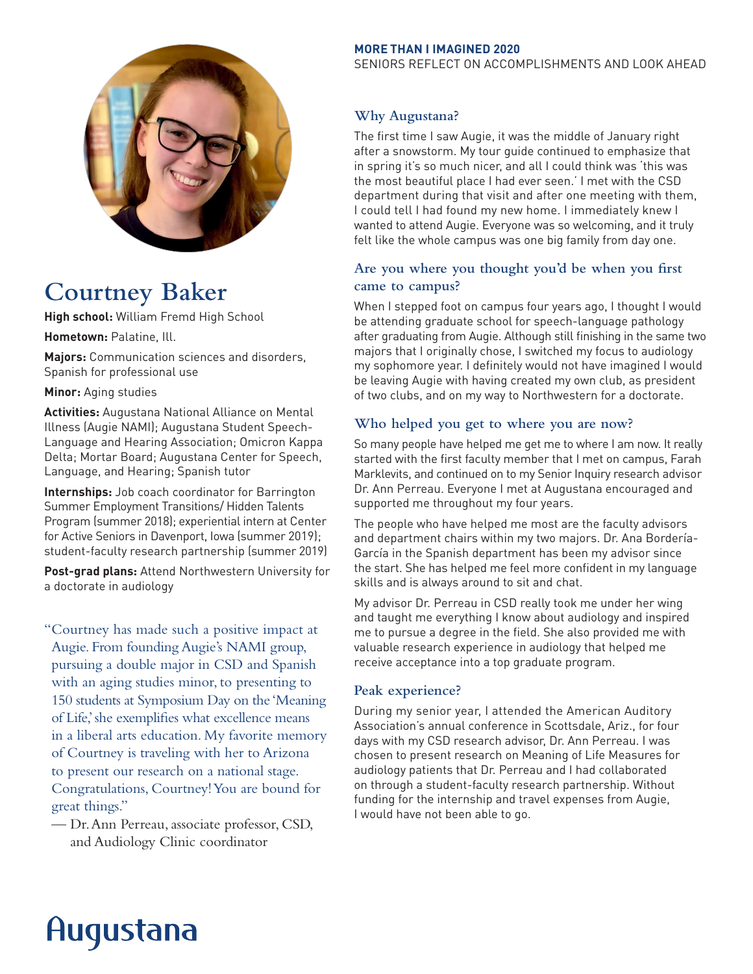

## **Courtney Baker**

**High school:** William Fremd High School

**Hometown:** Palatine, Ill.

**Majors:** Communication sciences and disorders, Spanish for professional use

**Minor:** Aging studies

**Activities:** Augustana National Alliance on Mental Illness (Augie NAMI); Augustana Student Speech-Language and Hearing Association; Omicron Kappa Delta; Mortar Board; Augustana Center for Speech, Language, and Hearing; Spanish tutor

**Internships:** Job coach coordinator for Barrington Summer Employment Transitions/ Hidden Talents Program (summer 2018); experiential intern at Center for Active Seniors in Davenport, Iowa (summer 2019); student-faculty research partnership (summer 2019)

**Post-grad plans:** Attend Northwestern University for a doctorate in audiology

"Courtney has made such a positive impact at Augie. From founding Augie's NAMI group, pursuing a double major in CSD and Spanish with an aging studies minor, to presenting to 150 students at Symposium Day on the 'Meaning of Life,' she exemplifies what excellence means in a liberal arts education. My favorite memory of Courtney is traveling with her to Arizona to present our research on a national stage. Congratulations, Courtney! You are bound for great things."

— Dr. Ann Perreau, associate professor, CSD, and Audiology Clinic coordinator

#### **MORE THAN I IMAGINED 2020**

SENIORS REFLECT ON ACCOMPLISHMENTS AND LOOK AHEAD

#### **Why Augustana?**

The first time I saw Augie, it was the middle of January right after a snowstorm. My tour guide continued to emphasize that in spring it's so much nicer, and all I could think was 'this was the most beautiful place I had ever seen.' I met with the CSD department during that visit and after one meeting with them, I could tell I had found my new home. I immediately knew I wanted to attend Augie. Everyone was so welcoming, and it truly felt like the whole campus was one big family from day one.

#### **Are you where you thought you'd be when you first came to campus?**

When I stepped foot on campus four years ago, I thought I would be attending graduate school for speech-language pathology after graduating from Augie. Although still finishing in the same two majors that I originally chose, I switched my focus to audiology my sophomore year. I definitely would not have imagined I would be leaving Augie with having created my own club, as president of two clubs, and on my way to Northwestern for a doctorate.

#### **Who helped you get to where you are now?**

So many people have helped me get me to where I am now. It really started with the first faculty member that I met on campus, Farah Marklevits, and continued on to my Senior Inquiry research advisor Dr. Ann Perreau. Everyone I met at Augustana encouraged and supported me throughout my four years.

The people who have helped me most are the faculty advisors and department chairs within my two majors. Dr. Ana Bordería-García in the Spanish department has been my advisor since the start. She has helped me feel more confident in my language skills and is always around to sit and chat.

My advisor Dr. Perreau in CSD really took me under her wing and taught me everything I know about audiology and inspired me to pursue a degree in the field. She also provided me with valuable research experience in audiology that helped me receive acceptance into a top graduate program.

#### **Peak experience?**

During my senior year, I attended the American Auditory Association's annual conference in Scottsdale, Ariz., for four days with my CSD research advisor, Dr. Ann Perreau. I was chosen to present research on Meaning of Life Measures for audiology patients that Dr. Perreau and I had collaborated on through a student-faculty research partnership. Without funding for the internship and travel expenses from Augie, I would have not been able to go.

# Augustana